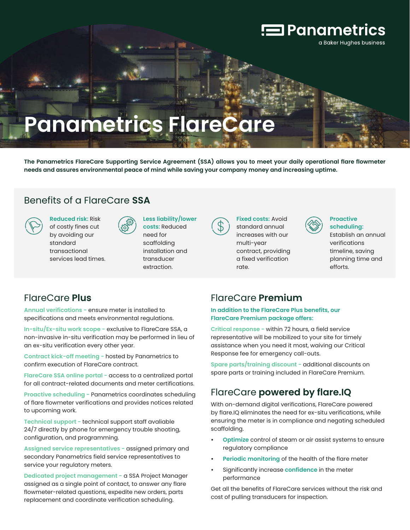



**The Panametrics FlareCare Supporting Service Agreement (SSA) allows you to meet your daily operational flare flowmeter needs and assures environmental peace of mind while saving your company money and increasing uptime.**

### Benefits of a FlareCare **SSA**

of costly fines cut by avoiding our standard transactional services lead times.

**Reduced risk:** Risk



**Less liability/lower costs:** Reduced need for scaffolding installation and transducer extraction.



**Fixed costs:** Avoid standard annual increases with our multi-year contract, providing a fixed verification rate.



#### **Proactive scheduling:**

Establish an annual verifications timeline, saving planning time and efforts.

### FlareCare **Plus**

**Annual verifications -** ensure meter is installed to specifications and meets environmental regulations.

**In-situ/Ex-situ work scope -** exclusive to FlareCare SSA, a non-invasive in-situ verification may be performed in lieu of an ex-situ verification every other year.

**Contract kick-off meeting -** hosted by Panametrics to confirm execution of FlareCare contract.

**FlareCare SSA online portal -** access to a centralized portal for all contract-related documents and meter certifications.

**Proactive scheduling -** Panametrics coordinates scheduling of flare flowmeter verifications and provides notices related to upcoming work.

**Technical support -** technical support staff avaliable 24/7 directly by phone for emergency trouble shooting, configuration, and programming.

**Assigned service representatives -** assigned primary and secondary Panametrics field service representatives to service your regulatory meters.

**Dedicated project management -** a SSA Project Manager assigned as a single point of contact, to answer any flare flowmeter-related questions, expedite new orders, parts replacement and coordinate verification scheduling.

## FlareCare **Premium**

### **In addition to the FlareCare Plus benefits, our FlareCare Premium package offers:**

**Critical response -** within 72 hours, a field service representative will be mobilized to your site for timely assistance when you need it most, waiving our Critical Response fee for emergency call-outs.

**Spare parts/training discount -** additional discounts on spare parts or training included in FlareCare Premium.

## FlareCare **powered by flare.IQ**

With on-demand digital verifications, FlareCare powered by flare.IQ eliminates the need for ex-situ verifications, while ensuring the meter is in compliance and negating scheduled scaffolding.

- **Optimize** control of steam or air assist systems to ensure regulatory compliance
- **• Periodic monitoring** of the health of the flare meter
- Significantly increase **confidence** in the meter performance

Get all the benefits of FlareCare services without the risk and cost of pulling transducers for inspection.